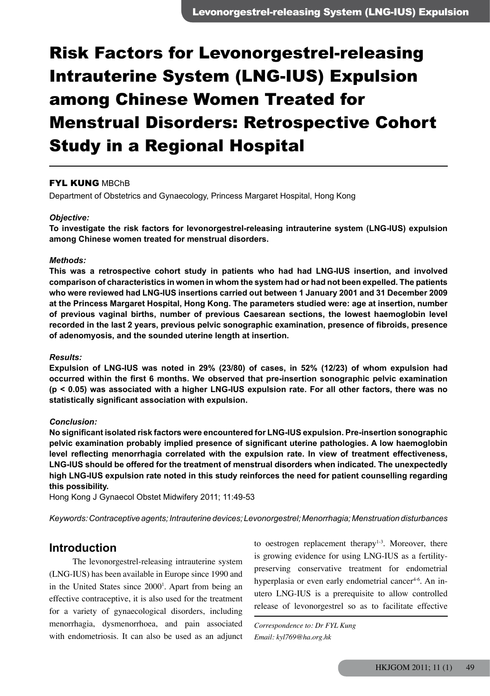# Risk Factors for Levonorgestrel-releasing Intrauterine System (LNG-IUS) Expulsion among Chinese Women Treated for Menstrual Disorders: Retrospective Cohort Study in a Regional Hospital

### **FYL KUNG MBChB**

Department of Obstetrics and Gynaecology, Princess Margaret Hospital, Hong Kong

#### *Objective:*

**To investigate the risk factors for levonorgestrel-releasing intrauterine system (LNG-IUS) expulsion among Chinese women treated for menstrual disorders.** 

#### *Methods:*

**This was a retrospective cohort study in patients who had had LNG-IUS insertion, and involved comparison of characteristics in women in whom the system had or had not been expelled. The patients who were reviewed had LNG-IUS insertions carried out between 1 January 2001 and 31 December 2009 at the Princess Margaret Hospital, Hong Kong. The parameters studied were: age at insertion, number of previous vaginal births, number of previous Caesarean sections, the lowest haemoglobin level recorded in the last 2 years, previous pelvic sonographic examination, presence of fibroids, presence of adenomyosis, and the sounded uterine length at insertion.** 

#### *Results:*

**Expulsion of LNG-IUS was noted in 29% (23/80) of cases, in 52% (12/23) of whom expulsion had occurred within the first 6 months. We observed that pre-insertion sonographic pelvic examination (p < 0.05) was associated with a higher LNG-IUS expulsion rate. For all other factors, there was no statistically significant association with expulsion.** 

#### *Conclusion:*

**No significant isolated risk factors were encountered for LNG-IUS expulsion. Pre-insertion sonographic pelvic examination probably implied presence of significant uterine pathologies. A low haemoglobin level reflecting menorrhagia correlated with the expulsion rate. In view of treatment effectiveness, LNG-IUS should be offered for the treatment of menstrual disorders when indicated. The unexpectedly high LNG-IUS expulsion rate noted in this study reinforces the need for patient counselling regarding this possibility.** 

Hong Kong J Gynaecol Obstet Midwifery 2011; 11:49-53

*Keywords: Contraceptive agents; Intrauterine devices; Levonorgestrel; Menorrhagia; Menstruation disturbances*

# **Introduction**

The levonorgestrel-releasing intrauterine system (LNG-IUS) has been available in Europe since 1990 and in the United States since 2000<sup>1</sup>. Apart from being an effective contraceptive, it is also used for the treatment for a variety of gynaecological disorders, including menorrhagia, dysmenorrhoea, and pain associated with endometriosis. It can also be used as an adjunct

to oestrogen replacement therapy<sup>1-3</sup>. Moreover, there is growing evidence for using LNG-IUS as a fertilitypreserving conservative treatment for endometrial hyperplasia or even early endometrial cancer<sup>4-6</sup>. An inutero LNG-IUS is a prerequisite to allow controlled release of levonorgestrel so as to facilitate effective

*Correspondence to: Dr FYL Kung Email: kyl769@ha.org.hk*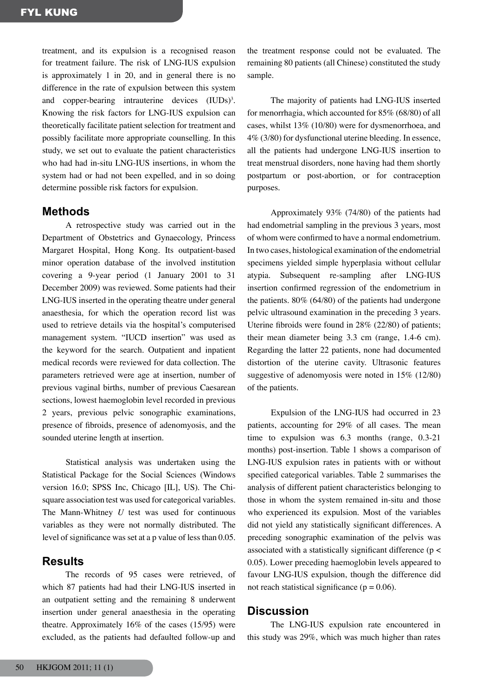treatment, and its expulsion is a recognised reason for treatment failure. The risk of LNG-IUS expulsion is approximately 1 in 20, and in general there is no difference in the rate of expulsion between this system and copper-bearing intrauterine devices (IUDs)<sup>3</sup>. Knowing the risk factors for LNG-IUS expulsion can theoretically facilitate patient selection for treatment and possibly facilitate more appropriate counselling. In this study, we set out to evaluate the patient characteristics who had had in-situ LNG-IUS insertions, in whom the system had or had not been expelled, and in so doing determine possible risk factors for expulsion.

## **Methods**

A retrospective study was carried out in the Department of Obstetrics and Gynaecology, Princess Margaret Hospital, Hong Kong. Its outpatient-based minor operation database of the involved institution covering a 9-year period (1 January 2001 to 31 December 2009) was reviewed. Some patients had their LNG-IUS inserted in the operating theatre under general anaesthesia, for which the operation record list was used to retrieve details via the hospital's computerised management system. "IUCD insertion" was used as the keyword for the search. Outpatient and inpatient medical records were reviewed for data collection. The parameters retrieved were age at insertion, number of previous vaginal births, number of previous Caesarean sections, lowest haemoglobin level recorded in previous 2 years, previous pelvic sonographic examinations, presence of fibroids, presence of adenomyosis, and the sounded uterine length at insertion.

Statistical analysis was undertaken using the Statistical Package for the Social Sciences (Windows version 16.0; SPSS Inc, Chicago [IL], US). The Chisquare association test was used for categorical variables. The Mann-Whitney *U* test was used for continuous variables as they were not normally distributed. The level of significance was set at a p value of less than 0.05.

# **Results**

The records of 95 cases were retrieved, of which 87 patients had had their LNG-IUS inserted in an outpatient setting and the remaining 8 underwent insertion under general anaesthesia in the operating theatre. Approximately 16% of the cases (15/95) were excluded, as the patients had defaulted follow-up and

the treatment response could not be evaluated. The remaining 80 patients (all Chinese) constituted the study sample.

The majority of patients had LNG-IUS inserted for menorrhagia, which accounted for 85% (68/80) of all cases, whilst 13% (10/80) were for dysmenorrhoea, and 4% (3/80) for dysfunctional uterine bleeding. In essence, all the patients had undergone LNG-IUS insertion to treat menstrual disorders, none having had them shortly postpartum or post-abortion, or for contraception purposes.

Approximately 93% (74/80) of the patients had had endometrial sampling in the previous 3 years, most of whom were confirmed to have a normal endometrium. In two cases, histological examination of the endometrial specimens yielded simple hyperplasia without cellular atypia. Subsequent re-sampling after LNG-IUS insertion confirmed regression of the endometrium in the patients. 80% (64/80) of the patients had undergone pelvic ultrasound examination in the preceding 3 years. Uterine fibroids were found in 28% (22/80) of patients; their mean diameter being 3.3 cm (range, 1.4-6 cm). Regarding the latter 22 patients, none had documented distortion of the uterine cavity. Ultrasonic features suggestive of adenomyosis were noted in 15% (12/80) of the patients.

Expulsion of the LNG-IUS had occurred in 23 patients, accounting for 29% of all cases. The mean time to expulsion was 6.3 months (range, 0.3-21 months) post-insertion. Table 1 shows a comparison of LNG-IUS expulsion rates in patients with or without specified categorical variables. Table 2 summarises the analysis of different patient characteristics belonging to those in whom the system remained in-situ and those who experienced its expulsion. Most of the variables did not yield any statistically significant differences. A preceding sonographic examination of the pelvis was associated with a statistically significant difference (p < 0.05). Lower preceding haemoglobin levels appeared to favour LNG-IUS expulsion, though the difference did not reach statistical significance ( $p = 0.06$ ).

## **Discussion**

The LNG-IUS expulsion rate encountered in this study was 29%, which was much higher than rates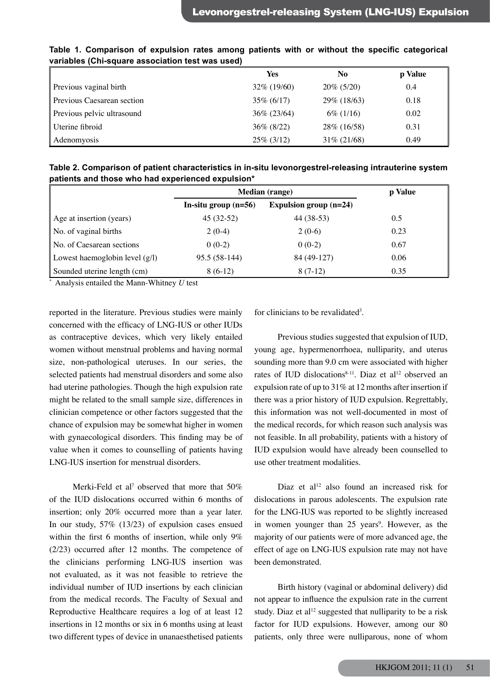|                            | Yes            | No             | p Value |
|----------------------------|----------------|----------------|---------|
| Previous vaginal birth     | $32\%$ (19/60) | $20\% (5/20)$  | 0.4     |
| Previous Caesarean section | $35\% (6/17)$  | 29\% (18\63)   | 0.18    |
| Previous pelvic ultrasound | $36\% (23/64)$ | $6\%$ (1/16)   | 0.02    |
| Uterine fibroid            | $36\% (8/22)$  | 28\% (16/58)   | 0.31    |
| Adenomyosis                | $25\%$ (3/12)  | $31\% (21/68)$ | 0.49    |

**Table 1. Comparison of expulsion rates among patients with or without the specific categorical variables (Chi-square association test was used)**

**Table 2. Comparison of patient characteristics in in-situ levonorgestrel-releasing intrauterine system patients and those who had experienced expulsion\***

|                                  | <b>Median</b> (range)  |                          | p Value |
|----------------------------------|------------------------|--------------------------|---------|
|                                  | In-situ group $(n=56)$ | Expulsion group $(n=24)$ |         |
| Age at insertion (years)         | $45(32-52)$            | 44 (38-53)               | 0.5     |
| No. of vaginal births            | $2(0-4)$               | $2(0-6)$                 | 0.23    |
| No. of Caesarean sections        | $0(0-2)$               | $0(0-2)$                 | 0.67    |
| Lowest haemoglobin level $(g/l)$ | 95.5 (58-144)          | 84 (49-127)              | 0.06    |
| Sounded uterine length (cm)      | $8(6-12)$              | $8(7-12)$                | 0.35    |

\* Analysis entailed the Mann-Whitney *U* test

reported in the literature. Previous studies were mainly concerned with the efficacy of LNG-IUS or other IUDs as contraceptive devices, which very likely entailed women without menstrual problems and having normal size, non-pathological uteruses. In our series, the selected patients had menstrual disorders and some also had uterine pathologies. Though the high expulsion rate might be related to the small sample size, differences in clinician competence or other factors suggested that the chance of expulsion may be somewhat higher in women with gynaecological disorders. This finding may be of value when it comes to counselling of patients having LNG-IUS insertion for menstrual disorders.

Merki-Feld et al<sup>7</sup> observed that more that  $50\%$ of the IUD dislocations occurred within 6 months of insertion; only 20% occurred more than a year later. In our study, 57% (13/23) of expulsion cases ensued within the first 6 months of insertion, while only 9% (2/23) occurred after 12 months. The competence of the clinicians performing LNG-IUS insertion was not evaluated, as it was not feasible to retrieve the individual number of IUD insertions by each clinician from the medical records. The Faculty of Sexual and Reproductive Healthcare requires a log of at least 12 insertions in 12 months or six in 6 months using at least two different types of device in unanaesthetised patients

for clinicians to be revalidated<sup>3</sup>.

Previous studies suggested that expulsion of IUD, young age, hypermenorrhoea, nulliparity, and uterus sounding more than 9.0 cm were associated with higher rates of IUD dislocations<sup>8-11</sup>. Diaz et al<sup>12</sup> observed an expulsion rate of up to 31% at 12 months after insertion if there was a prior history of IUD expulsion. Regrettably, this information was not well-documented in most of the medical records, for which reason such analysis was not feasible. In all probability, patients with a history of IUD expulsion would have already been counselled to use other treatment modalities.

Diaz et al<sup>12</sup> also found an increased risk for dislocations in parous adolescents. The expulsion rate for the LNG-IUS was reported to be slightly increased in women younger than 25 years<sup>9</sup>. However, as the majority of our patients were of more advanced age, the effect of age on LNG-IUS expulsion rate may not have been demonstrated.

Birth history (vaginal or abdominal delivery) did not appear to influence the expulsion rate in the current study. Diaz et al<sup>12</sup> suggested that nulliparity to be a risk factor for IUD expulsions. However, among our 80 patients, only three were nulliparous, none of whom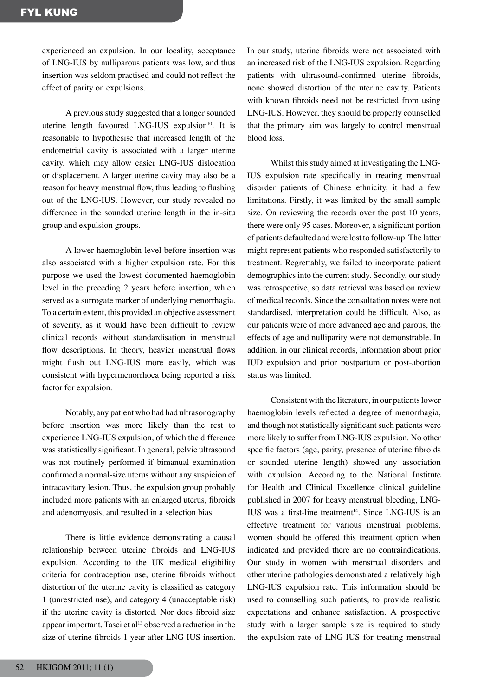experienced an expulsion. In our locality, acceptance of LNG-IUS by nulliparous patients was low, and thus insertion was seldom practised and could not reflect the effect of parity on expulsions.

A previous study suggested that a longer sounded uterine length favoured LNG-IUS expulsion $10$ . It is reasonable to hypothesise that increased length of the endometrial cavity is associated with a larger uterine cavity, which may allow easier LNG-IUS dislocation or displacement. A larger uterine cavity may also be a reason for heavy menstrual flow, thus leading to flushing out of the LNG-IUS. However, our study revealed no difference in the sounded uterine length in the in-situ group and expulsion groups.

A lower haemoglobin level before insertion was also associated with a higher expulsion rate. For this purpose we used the lowest documented haemoglobin level in the preceding 2 years before insertion, which served as a surrogate marker of underlying menorrhagia. To a certain extent, this provided an objective assessment of severity, as it would have been difficult to review clinical records without standardisation in menstrual flow descriptions. In theory, heavier menstrual flows might flush out LNG-IUS more easily, which was consistent with hypermenorrhoea being reported a risk factor for expulsion.

Notably, any patient who had had ultrasonography before insertion was more likely than the rest to experience LNG-IUS expulsion, of which the difference was statistically significant. In general, pelvic ultrasound was not routinely performed if bimanual examination confirmed a normal-size uterus without any suspicion of intracavitary lesion. Thus, the expulsion group probably included more patients with an enlarged uterus, fibroids and adenomyosis, and resulted in a selection bias.

There is little evidence demonstrating a causal relationship between uterine fibroids and LNG-IUS expulsion. According to the UK medical eligibility criteria for contraception use, uterine fibroids without distortion of the uterine cavity is classified as category 1 (unrestricted use), and category 4 (unacceptable risk) if the uterine cavity is distorted. Nor does fibroid size appear important. Tasci et al<sup>13</sup> observed a reduction in the size of uterine fibroids 1 year after LNG-IUS insertion.

In our study, uterine fibroids were not associated with an increased risk of the LNG-IUS expulsion. Regarding patients with ultrasound-confirmed uterine fibroids, none showed distortion of the uterine cavity. Patients with known fibroids need not be restricted from using LNG-IUS. However, they should be properly counselled that the primary aim was largely to control menstrual blood loss.

Whilst this study aimed at investigating the LNG-IUS expulsion rate specifically in treating menstrual disorder patients of Chinese ethnicity, it had a few limitations. Firstly, it was limited by the small sample size. On reviewing the records over the past 10 years, there were only 95 cases. Moreover, a significant portion of patients defaulted andwere lost to follow-up.The latter might represent patients who responded satisfactorily to treatment. Regrettably, we failed to incorporate patient demographics into the current study. Secondly, our study was retrospective, so data retrieval was based on review of medical records. Since the consultation notes were not standardised, interpretation could be difficult. Also, as our patients were of more advanced age and parous, the effects of age and nulliparity were not demonstrable. In addition, in our clinical records, information about prior IUD expulsion and prior postpartum or post-abortion status was limited.

Consistent with the literature, in our patients lower haemoglobin levels reflected a degree of menorrhagia, and though not statistically significant such patients were more likely to suffer from LNG-IUS expulsion. No other specific factors (age, parity, presence of uterine fibroids or sounded uterine length) showed any association with expulsion. According to the National Institute for Health and Clinical Excellence clinical guideline published in 2007 for heavy menstrual bleeding, LNG- $IUS$  was a first-line treatment<sup>14</sup>. Since LNG-IUS is an effective treatment for various menstrual problems, women should be offered this treatment option when indicated and provided there are no contraindications. Our study in women with menstrual disorders and other uterine pathologies demonstrated a relatively high LNG-IUS expulsion rate. This information should be used to counselling such patients, to provide realistic expectations and enhance satisfaction. A prospective study with a larger sample size is required to study the expulsion rate of LNG-IUS for treating menstrual